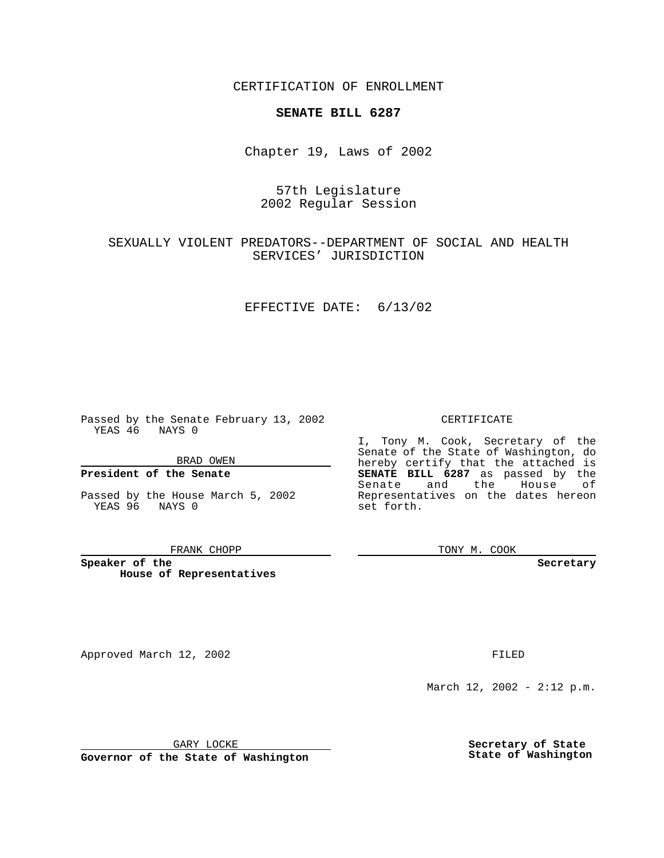CERTIFICATION OF ENROLLMENT

## **SENATE BILL 6287**

Chapter 19, Laws of 2002

## 57th Legislature 2002 Regular Session

## SEXUALLY VIOLENT PREDATORS--DEPARTMENT OF SOCIAL AND HEALTH SERVICES' JURISDICTION

### EFFECTIVE DATE: 6/13/02

Passed by the Senate February 13, 2002 YEAS 46 NAYS 0

BRAD OWEN

## **President of the Senate**

Passed by the House March 5, 2002 YEAS 96 NAYS 0

#### FRANK CHOPP

**Speaker of the House of Representatives**

Approved March 12, 2002 **FILED** 

### CERTIFICATE

I, Tony M. Cook, Secretary of the Senate of the State of Washington, do hereby certify that the attached is **SENATE BILL 6287** as passed by the Senate and the House of Representatives on the dates hereon set forth.

TONY M. COOK

**Secretary**

March 12, 2002 - 2:12 p.m.

GARY LOCKE

**Governor of the State of Washington**

**Secretary of State State of Washington**